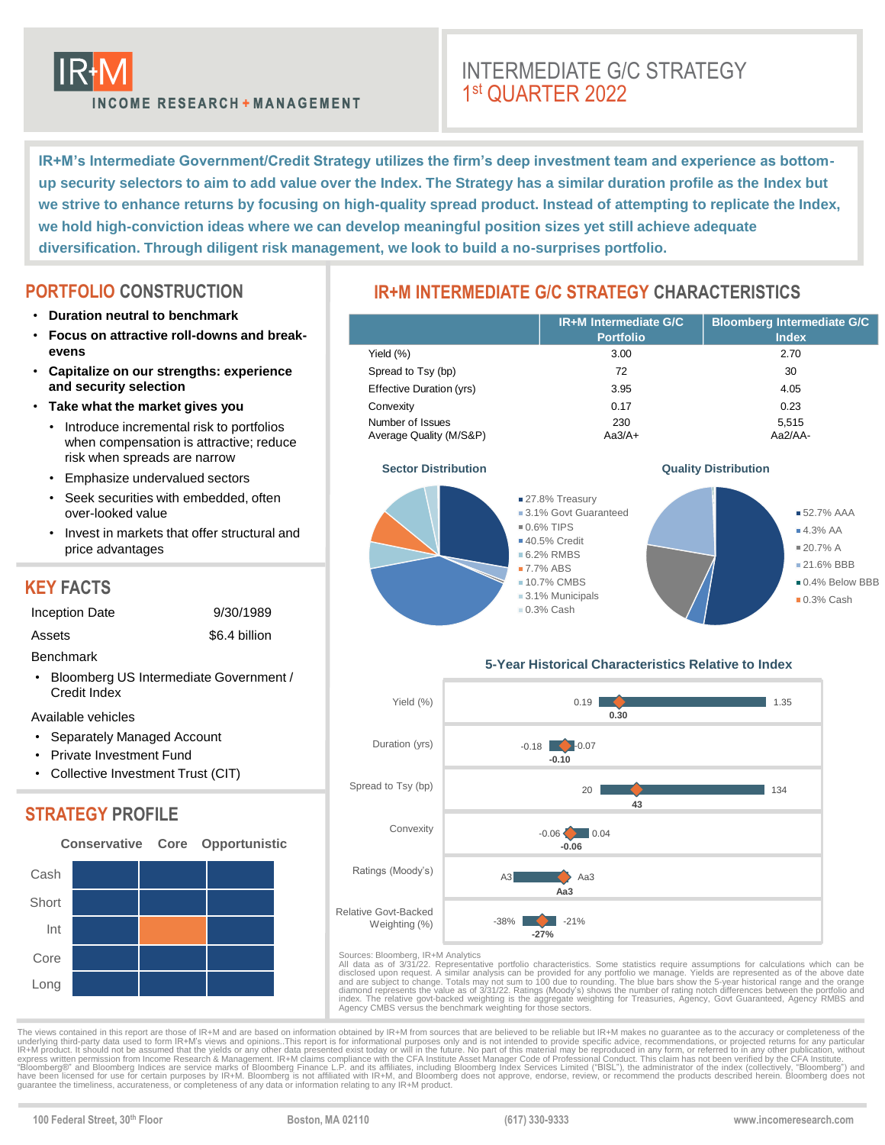

# INTERMEDIATE G/C STRATEGY 1 st QUARTER 2022

**IR+M's Intermediate Government/Credit Strategy utilizes the firm's deep investment team and experience as bottomup security selectors to aim to add value over the Index. The Strategy has a similar duration profile as the Index but we strive to enhance returns by focusing on high-quality spread product. Instead of attempting to replicate the Index, we hold high-conviction ideas where we can develop meaningful position sizes yet still achieve adequate diversification. Through diligent risk management, we look to build a no-surprises portfolio.**

# **PORTFOLIO CONSTRUCTION**

- **Duration neutral to benchmark**
- **Focus on attractive roll-downs and breakevens**
- **Capitalize on our strengths: experience and security selection**
- **Take what the market gives you**
	- Introduce incremental risk to portfolios when compensation is attractive; reduce risk when spreads are narrow
	- Emphasize undervalued sectors
	- Seek securities with embedded, often over-looked value
	- Invest in markets that offer structural and price advantages

# **KEY FACTS**

- Inception Date 9/30/1989
- Assets \$6.4 billion

Benchmark

• Bloomberg US Intermediate Government / Credit Index

Available vehicles

- Separately Managed Account
- Private Investment Fund
- Collective Investment Trust (CIT)

# **STRATEGY PROFILE**



# **IR+M INTERMEDIATE G/C STRATEGY CHARACTERISTICS**

|                                             | <b>IR+M Intermediate G/C</b><br><b>Portfolio</b> | <b>Bloomberg Intermediate G/C</b><br><b>Index</b> |
|---------------------------------------------|--------------------------------------------------|---------------------------------------------------|
| Yield $(\%)$                                | 3.00                                             | 2.70                                              |
| Spread to Tsy (bp)                          | 72                                               | 30                                                |
| Effective Duration (yrs)                    | 3.95                                             | 4.05                                              |
| Convexity                                   | 0.17                                             | 0.23                                              |
| Number of Issues<br>Average Quality (M/S&P) | 230<br>$Aa3/A+$                                  | 5,515<br>Aa2/AA-                                  |



### **Sector Distribution CONSISTENT ACCORDING ACCORDING ACCORDING ACCORDING ACCORDING ACCORDING ACCORDING ACCORDING ACCORDING ACCORDING ACCORDING ACCORDING ACCORDING ACCORDING ACCORDING ACCORDING ACCORDING ACCORDING ACCORDIN**



## **5-Year Historical Characteristics Relative to Index**



Sources: Bloomberg, IR+M Analytics<br>All data as of 3/31/22. Representative portfolio characteristics. Some statistics require assumptions for calculations which can be<br>disclosed upon request. A similar analysis can be provi

The views contained in this report are those of IR+M and are based on information obtained by IR+M from sources that are believed to be reliable but IR+M makes no quarantee as to the accuracy or completeness of the seculic

**100 Federal Street, 30th Floor Boston, MA 02110 (617) 330-9333 www.incomeresearch.com**